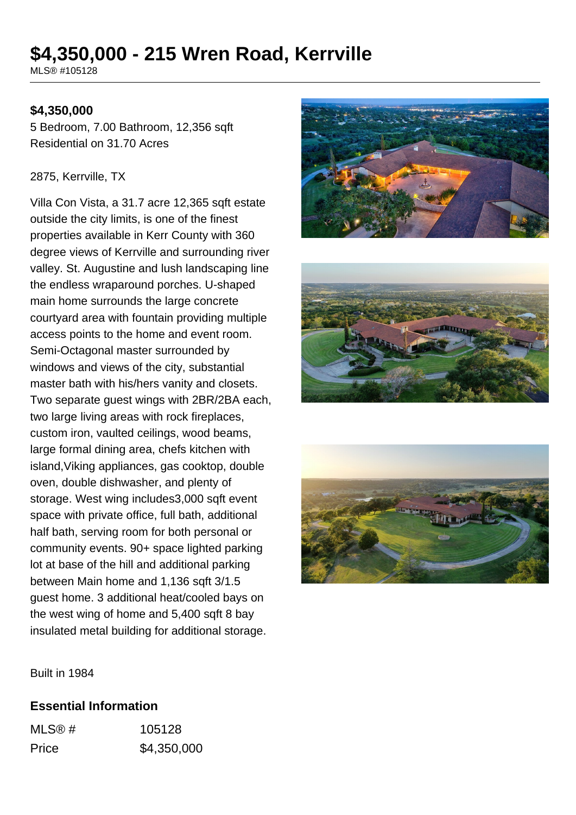# **\$4,350,000 - 215 Wren Road, Kerrville**

MLS® #105128

### **\$4,350,000**

5 Bedroom, 7.00 Bathroom, 12,356 sqft Residential on 31.70 Acres

#### 2875, Kerrville, TX

Villa Con Vista, a 31.7 acre 12,365 sqft estate outside the city limits, is one of the finest properties available in Kerr County with 360 degree views of Kerrville and surrounding river valley. St. Augustine and lush landscaping line the endless wraparound porches. U-shaped main home surrounds the large concrete courtyard area with fountain providing multiple access points to the home and event room. Semi-Octagonal master surrounded by windows and views of the city, substantial master bath with his/hers vanity and closets. Two separate guest wings with 2BR/2BA each, two large living areas with rock fireplaces, custom iron, vaulted ceilings, wood beams, large formal dining area, chefs kitchen with island,Viking appliances, gas cooktop, double oven, double dishwasher, and plenty of storage. West wing includes3,000 sqft event space with private office, full bath, additional half bath, serving room for both personal or community events. 90+ space lighted parking lot at base of the hill and additional parking between Main home and 1,136 sqft 3/1.5 guest home. 3 additional heat/cooled bays on the west wing of home and 5,400 sqft 8 bay insulated metal building for additional storage.







Built in 1984

#### **Essential Information**

| MLS@# | 105128      |
|-------|-------------|
| Price | \$4,350,000 |